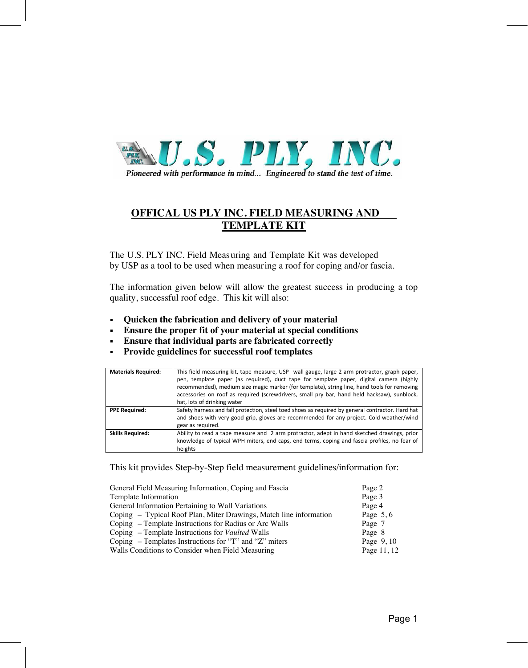

## **OFFICAL US PLY INC. FIELD MEASURING AND TEMPLATE KIT**

The U.S. PLY INC. Field Measuring and Template Kit was developed by USP as a tool to be used when measuring a roof for coping and/or fascia.

The information given below will allow the greatest success in producing a top quality, successful roof edge. This kit will also:

- **Quicken the fabrication and delivery of your material**
- **Ensure the proper fit of your material at special conditions**
- **Ensure that individual parts are fabricated correctly**
- **Provide guidelines for successful roof templates**

| <b>Materials Required:</b> | This field measuring kit, tape measure, USP wall gauge, large 2 arm protractor, graph paper,<br>pen, template paper (as required), duct tape for template paper, digital camera (highly<br>recommended), medium size magic marker (for template), string line, hand tools for removing<br>accessories on roof as required (screwdrivers, small pry bar, hand held hacksaw), sunblock,<br>hat, lots of drinking water |
|----------------------------|----------------------------------------------------------------------------------------------------------------------------------------------------------------------------------------------------------------------------------------------------------------------------------------------------------------------------------------------------------------------------------------------------------------------|
| <b>PPE Required:</b>       | Safety harness and fall protection, steel toed shoes as required by general contractor. Hard hat<br>and shoes with very good grip, gloves are recommended for any project. Cold weather/wind<br>gear as required.                                                                                                                                                                                                    |
| <b>Skills Required:</b>    | Ability to read a tape measure and 2 arm protractor, adept in hand sketched drawings, prior<br>knowledge of typical WPH miters, end caps, end terms, coping and fascia profiles, no fear of<br>heights                                                                                                                                                                                                               |

This kit provides Step-by-Step field measurement guidelines/information for:

| General Field Measuring Information, Coping and Fascia             | Page 2      |
|--------------------------------------------------------------------|-------------|
| Template Information                                               | Page 3      |
| General Information Pertaining to Wall Variations                  | Page 4      |
| Coping – Typical Roof Plan, Miter Drawings, Match line information | Page $5, 6$ |
| Coping – Template Instructions for Radius or Arc Walls             | Page 7      |
| Coping – Template Instructions for Vaulted Walls                   | Page 8      |
| Coping – Templates Instructions for "T" and "Z" miters             | Page 9, 10  |
| Walls Conditions to Consider when Field Measuring                  | Page 11, 12 |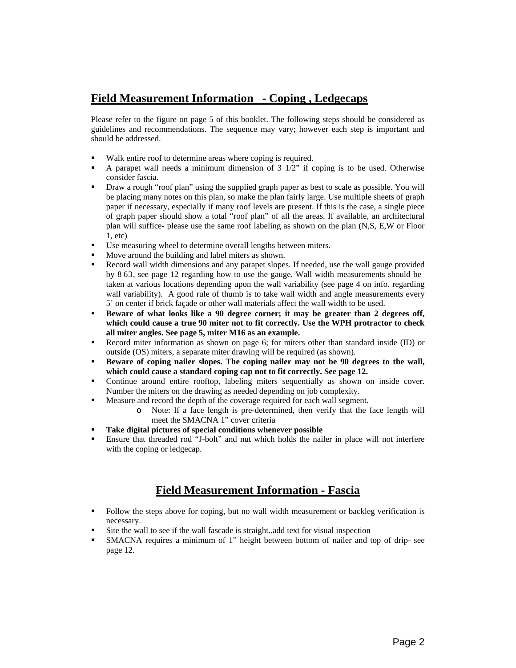#### **Field Measurement Information - Coping , Ledgecaps**

Please refer to the figure on page 5 of this booklet. The following steps should be considered as guidelines and recommendations. The sequence may vary; however each step is important and should be addressed.

- Walk entire roof to determine areas where coping is required.
- A parapet wall needs a minimum dimension of  $3 \frac{1}{2}$ " if coping is to be used. Otherwise consider fascia.
- Draw a rough "roof plan" using the supplied graph paper as best to scale as possible. You will be placing many notes on this plan, so make the plan fairly large. Use multiple sheets of graph paper if necessary, especially if many roof levels are present. If this is the case, a single piece of graph paper should show a total "roof plan" of all the areas. If available, an architectural plan will suffice- please use the same roof labeling as shown on the plan (N,S, E,W or Floor 1, etc)
- Use measuring wheel to determine overall lengths between miters.
- **Move around the building and label miters as shown.**
- Record wall width dimensions and any parapet slopes. If needed, use the wall gauge provided by WLR, see page 12 regarding how to use the gauge. Wall width measurements should be taken at various locations depending upon the wall variability (see page 4 on info. regarding wall variability). A good rule of thumb is to take wall width and angle measurements every 5' on center if brick façade or other wall materials affect the wall width to be used.
- **Beware of what looks like a 90 degree corner; it may be greater than 2 degrees off, which could cause a true 90 miter not to fit correctly. Use the WPH protractor to check all miter angles. See page 5, miter M16 as an example.**
- Record miter information as shown on page 6; for miters other than standard inside (ID) or outside (OS) miters, a separate miter drawing will be required (as shown).
- **Beware of coping nailer slopes. The coping nailer may not be 90 degrees to the wall, which could cause a standard coping cap not to fit correctly. See page 12.**
- Continue around entire rooftop, labeling miters sequentially as shown on inside cover. Number the miters on the drawing as needed depending on job complexity.
- Measure and record the depth of the coverage required for each wall segment.
	- o Note: If a face length is pre-determined, then verify that the face length will meet the SMACNA 1" cover criteria
- **Take digital pictures of special conditions whenever possible**
- Ensure that threaded rod "J-bolt" and nut which holds the nailer in place will not interfere with the coping or ledgecap.

#### **Field Measurement Information - Fascia**

- Follow the steps above for coping, but no wall width measurement or backleg verification is necessary.
- Site the wall to see if the wall fascade is straight..add text for visual inspection
- SMACNA requires a minimum of 1" height between bottom of nailer and top of drip- see page 12.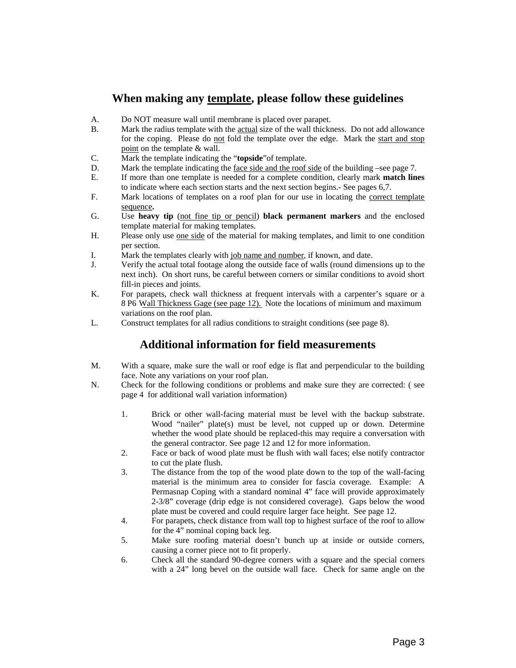#### **When making any template, please follow these guidelines**

- A. Do NOT measure wall until membrane is placed over parapet.
- B. Mark the radius template with the actual size of the wall thickness. Do not add allowance for the coping. Please do not fold the template over the edge. Mark the start and stop point on the template & wall.
- C. Mark the template indicating the "**topside**"of template.
- D. Mark the template indicating the face side and the roof side of the building –see page 7.
- E. If more than one template is needed for a complete condition, clearly mark **match lines** to indicate where each section starts and the next section begins.- See pages 6,7.
- F. Mark locations of templates on a roof plan for our use in locating the correct template sequence**.**
- G. Use **heavy tip** (not fine tip or pencil) **black permanent markers** and the enclosed template material for making templates.
- H. Please only use one side of the material for making templates, and limit to one condition per section.
- I. Mark the templates clearly with job name and number, if known, and date.
- J. Verify the actual total footage along the outside face of walls (round dimensions up to the next inch). On short runs, be careful between corners or similar conditions to avoid short fill-in pieces and joints.
- K. For parapets, check wall thickness at frequent intervals with a carpenter's square or a WPU Wall Thickness Gage (see page 12). Note the locations of minimum and maximum variations on the roof plan.
- L. Construct templates for all radius conditions to straight conditions (see page 8).

### **Additional information for field measurements**

- M. With a square, make sure the wall or roof edge is flat and perpendicular to the building face. Note any variations on your roof plan.
- N. Check for the following conditions or problems and make sure they are corrected: ( see page 4 for additional wall variation information)
	- 1. Brick or other wall-facing material must be level with the backup substrate. Wood "nailer" plate(s) must be level, not cupped up or down. Determine whether the wood plate should be replaced-this may require a conversation with the general contractor. See page 12 and 12 for more information.
	- 2. Face or back of wood plate must be flush with wall faces; else notify contractor to cut the plate flush.
	- 3. The distance from the top of the wood plate down to the top of the wall-facing material is the minimum area to consider for fascia coverage. Example: A Permasnap Coping with a standard nominal 4" face will provide approximately 2-3/8" coverage (drip edge is not considered coverage). Gaps below the wood plate must be covered and could require larger face height. See page 12.
	- 4. For parapets, check distance from wall top to highest surface of the roof to allow for the 4" nominal coping back leg.
	- 5. Make sure roofing material doesn't bunch up at inside or outside corners, causing a corner piece not to fit properly.
	- 6. Check all the standard 90-degree corners with a square and the special corners with a 24" long bevel on the outside wall face. Check for same angle on the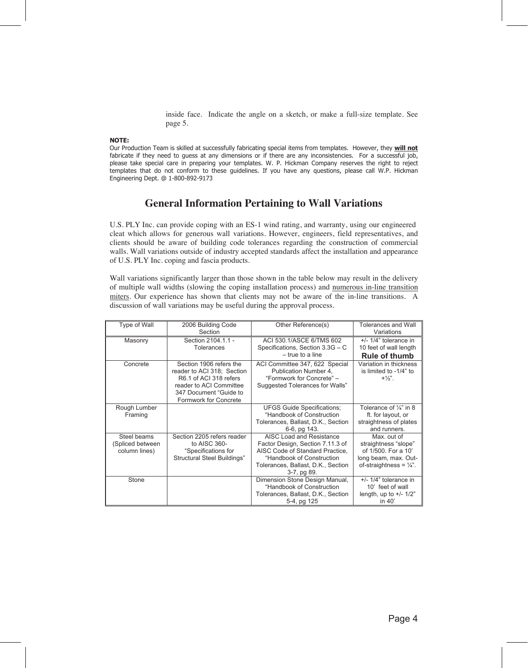inside face. Indicate the angle on a sketch, or make a full-size template. See page 5.

#### **NOTE:**

Our Production Team is skilled at successfully fabricating special items from templates. However, they **will not** fabricate if they need to quess at any dimensions or if there are any inconsistencies. For a successful job, please take special care in preparing your templates. W. P. Hickman Company reserves the right to reject templates that do not conform to these guidelines. If you have any questions, please call W.P. Hickman Engineering Dept. @ 1-800-892-9173

#### **General Information Pertaining to Wall Variations**

U.S. PLY Inc. can provide coping with an ES-1 wind rating, and warranty, using our engineered cleat which allows for generous wall variations. However, engineers, field representatives, and clients should be aware of building code tolerances regarding the construction of commercial walls. Wall variations outside of industry accepted standards affect the installation and appearance of U.S. PLY Inc. coping and fascia products.

Wall variations significantly larger than those shown in the table below may result in the delivery of multiple wall widths (slowing the coping installation process) and numerous in-line transition miters. Our experience has shown that clients may not be aware of the in-line transitions. A discussion of wall variations may be useful during the approval process.

| Type of Wall                                     | 2006 Building Code<br>Section                                                                                                                                 | Other Reference(s)                                                                                                                                                                | Tolerances and Wall<br>Variations                                                                                       |
|--------------------------------------------------|---------------------------------------------------------------------------------------------------------------------------------------------------------------|-----------------------------------------------------------------------------------------------------------------------------------------------------------------------------------|-------------------------------------------------------------------------------------------------------------------------|
| Masonry                                          | Section 2104.1.1 -<br>Tolerances                                                                                                                              | ACI 530.1/ASCE 6/TMS 602<br>Specifications, Section 3.3G - C<br>$-$ true to a line                                                                                                | $+/- 1/4"$ tolerance in<br>10 feet of wall length<br><b>Rule of thumb</b>                                               |
| Concrete                                         | Section 1906 refers the<br>reader to ACI 318; Section<br>R6.1 of ACI 318 refers<br>reader to ACI Committee<br>347 Document "Guide to<br>Formwork for Concrete | ACI Committee 347, 622 Special<br>Publication Number 4,<br>"Formwork for Concrete" -<br>Suggested Tolerances for Walls"                                                           | Variation in thickness<br>is limited to -1/4" to<br>$+1/3$ "                                                            |
| Rough Lumber<br>Framing                          |                                                                                                                                                               | <b>UFGS Guide Specifications;</b><br>"Handbook of Construction<br>Tolerances, Ballast, D.K., Section<br>6-6, pg 143.                                                              | Tolerance of $\frac{1}{4}$ " in 8<br>ft. for layout, or<br>straightness of plates<br>and runners.                       |
| Steel beams<br>(Spliced between<br>column lines) | Section 2205 refers reader<br>to AISC 360-<br>"Specifications for<br>Structural Steel Buildings"                                                              | AISC Load and Resistance<br>Factor Design, Section 7.11.3 of<br>AISC Code of Standard Practice,<br>"Handbook of Construction<br>Tolerances, Ballast, D.K., Section<br>3-7, pg 89. | Max. out of<br>straightness "slope"<br>of 1/500. For a 10'<br>long beam, max. Out-<br>of-straightness = $\frac{1}{4}$ . |
| Stone                                            |                                                                                                                                                               | Dimension Stone Design Manual,<br>"Handbook of Construction<br>Tolerances, Ballast, D.K., Section<br>5-4, pg 125                                                                  | $+/- 1/4$ " tolerance in<br>10' feet of wall<br>length, up to $+/- 1/2"$<br>in 40'                                      |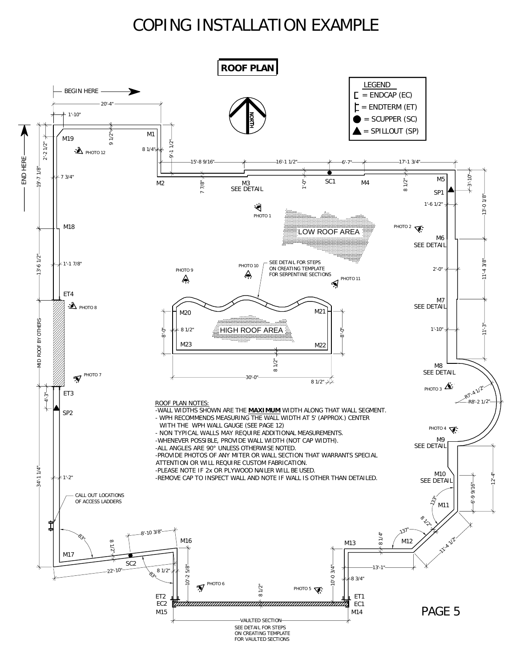# COPING INSTALLATION EXAMPLE

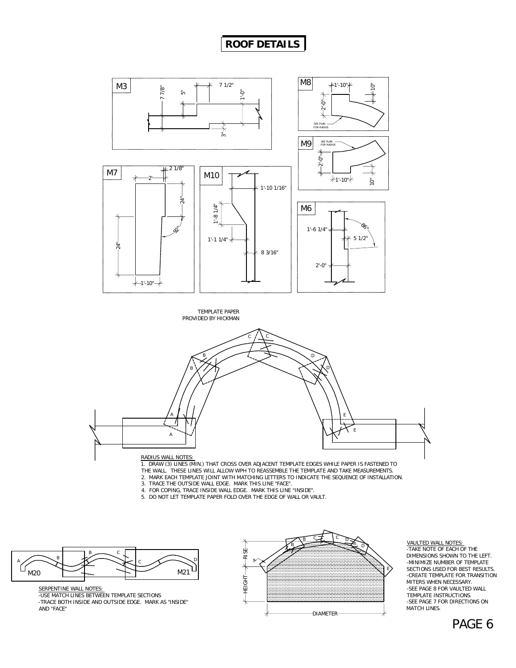## **ROOF DETAILS**





1. DRAW (3) LINES (MIN.) THAT CROSS OVER ADJACENT TEMPLATE EDGES WHILE PAPER IS FASTENED TO THE WALL. THESE LINES WILL ALLOW WPH TO REASSEMBLE THE TEMPLATE AND TAKE MEASUREMENTS.

2. MARK EACH TEMPLATE JOINT WITH MATCHING LETTERS TO INDICATE THE SEQUENCE OF INSTALLATION.

- 3. TRACE THE OUTSIDE WALL EDGE. MARK THIS LINE "FACE".
- 4. FOR COPING, TRACE INSIDE WALL EDGE. MARK THIS LINE "INSIDE". 5. DO NOT LET TEMPLATE PAPER FOLD OVER THE EDGE OF WALL OR VAULT.
- 



SERPENTINE WALL NOTES:

-USE MATCH LINES BETWEEN TEMPLATE SECTIONS -TRACE BOTH INSIDE AND OUTSIDE EDGE. MARK AS "INSIDE" AND "FACE"



#### VAULTED WALL NOTES: -TAKE NOTE OF EACH OF THE DIMENSIONS SHOWN TO THE LEFT. -MINIMIZE NUMBER OF TEMPLATE SECTIONS USED FOR BEST RESULTS. -CREATE TEMPLATE FOR TRANSITION MITERS WHEN NECESSARY. -SEE PAGE 8 FOR VAULTED WALL TEMPLATE INSTRUCTIONS. -SEE PAGE 7 FOR DIRECTIONS ON MATCH LINES.

### PAGE 6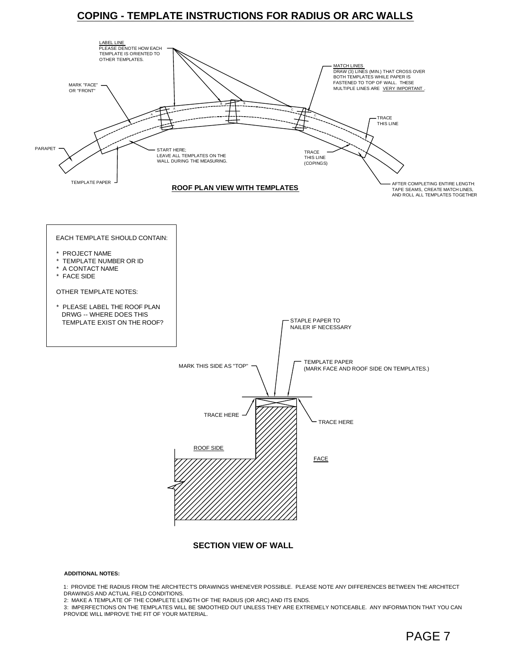#### **COPING - TEMPLATE INSTRUCTIONS FOR RADIUS OR ARC WALLS**



#### **ADDITIONAL NOTES:**

1: PROVIDE THE RADIUS FROM THE ARCHITECT'S DRAWINGS WHENEVER POSSIBLE. PLEASE NOTE ANY DIFFERENCES BETWEEN THE ARCHITECT DRAWINGS AND ACTUAL FIELD CONDITIONS.

2: MAKE A TEMPLATE OF THE COMPLETE LENGTH OF THE RADIUS (OR ARC) AND ITS ENDS.

3: IMPERFECTIONS ON THE TEMPLATES WILL BE SMOOTHED OUT UNLESS THEY ARE EXTREMELY NOTICEABLE. ANY INFORMATION THAT YOU CAN PROVIDE WILL IMPROVE THE FIT OF YOUR MATERIAL.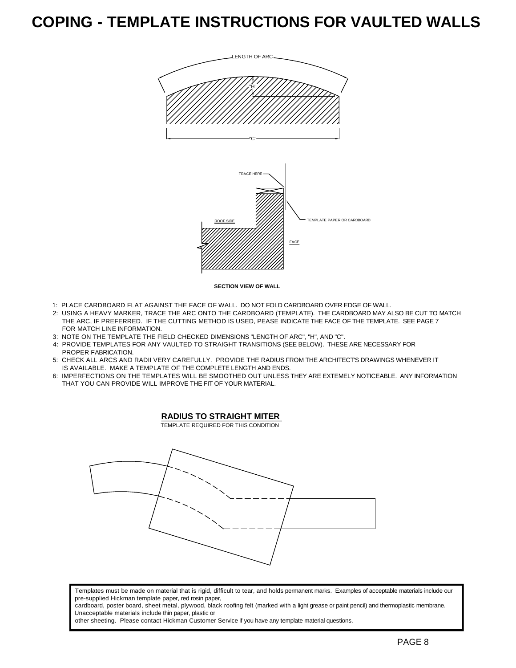# **COPING - TEMPLATE INSTRUCTIONS FOR VAULTED WALLS**



- 1: PLACE CARDBOARD FLAT AGAINST THE FACE OF WALL. DO NOT FOLD CARDBOARD OVER EDGE OF WALL.
- 2: USING A HEAVY MARKER, TRACE THE ARC ONTO THE CARDBOARD (TEMPLATE). THE CARDBOARD MAY ALSO BE CUT TO MATCH THE ARC, IF PREFERRED. IF THE CUTTING METHOD IS USED, PEASE INDICATE THE FACE OF THE TEMPLATE. SEE PAGE 7 FOR MATCH LINE INFORMATION.
- 3: NOTE ON THE TEMPLATE THE FIELD CHECKED DIMENSIONS "LENGTH OF ARC", "H", AND "C".
- 4: PROVIDE TEMPLATES FOR ANY VAULTED TO STRAIGHT TRANSITIONS (SEE BELOW). THESE ARE NECESSARY FOR PROPER FABRICATION.
- 5: CHECK ALL ARCS AND RADII VERY CAREFULLY. PROVIDE THE RADIUS FROM THE ARCHITECT'S DRAWINGS WHENEVER IT IS AVAILABLE. MAKE A TEMPLATE OF THE COMPLETE LENGTH AND ENDS.
- 6: IMPERFECTIONS ON THE TEMPLATES WILL BE SMOOTHED OUT UNLESS THEY ARE EXTEMELY NOTICEABLE. ANY INFORMATION THAT YOU CAN PROVIDE WILL IMPROVE THE FIT OF YOUR MATERIAL.



TEMPLATE REQUIRED FOR THIS CONDITION



Templates must be made on material that is rigid, difficult to tear, and holds permanent marks. Examples of acceptable materials include our pre-supplied Hickman template paper, red rosin paper,

cardboard, poster board, sheet metal, plywood, black roofing felt (marked with a light grease or paint pencil) and thermoplastic membrane. Unacceptable materials include thin paper, plastic or

other sheeting. Please contact Hickman Customer Service if you have any template material questions.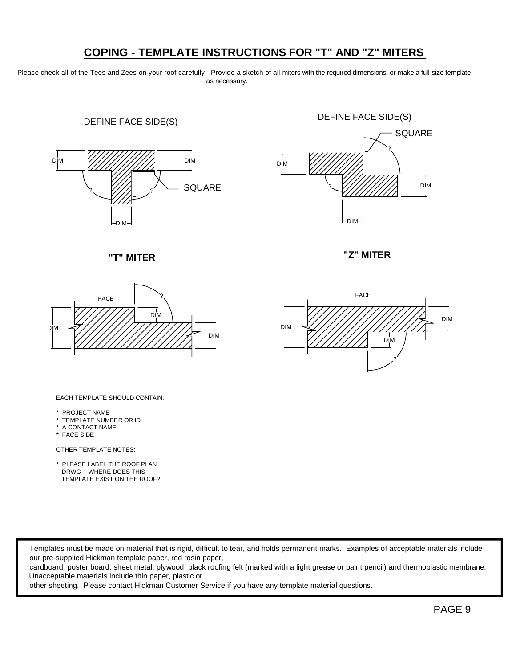## **COPING - TEMPLATE INSTRUCTIONS FOR "T" AND "Z" MITERS**

Please check all of the Tees and Zees on your roof carefully. Provide a sketch of all miters with the required dimensions, or make a full-size template as necessary.





 **"T" MITER "Z" MITER**





#### EACH TEMPLATE SHOULD CONTAIN:

- \* PROJECT NAME
- \* TEMPLATE NUMBER OR ID
- \* A CONTACT NAME
- \* FACE SIDE

OTHER TEMPLATE NOTES:

\* PLEASE LABEL THE ROOF PLAN DRWG -- WHERE DOES THIS TEMPLATE EXIST ON THE ROOF?

Templates must be made on material that is rigid, difficult to tear, and holds permanent marks. Examples of acceptable materials include our pre-supplied Hickman template paper, red rosin paper,

cardboard, poster board, sheet metal, plywood, black roofing felt (marked with a light grease or paint pencil) and thermoplastic membrane. Unacceptable materials include thin paper, plastic or

other sheeting. Please contact Hickman Customer Service if you have any template material questions.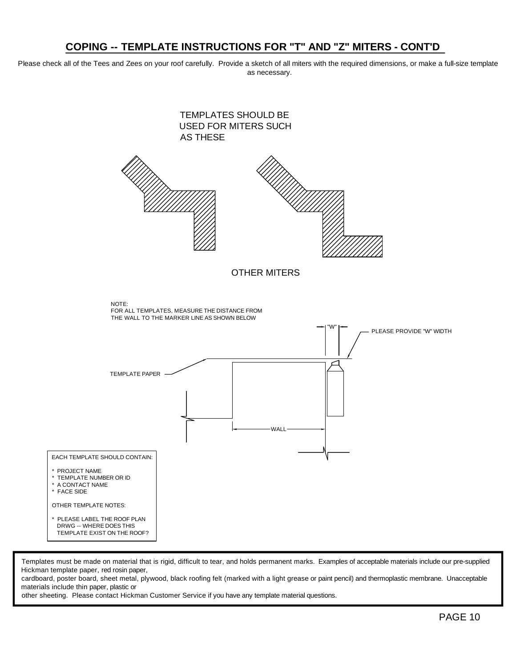#### **COPING -- TEMPLATE INSTRUCTIONS FOR "T" AND "Z" MITERS - CONT'D**

Please check all of the Tees and Zees on your roof carefully. Provide a sketch of all miters with the required dimensions, or make a full-size template as necessary.



Templates must be made on material that is rigid, difficult to tear, and holds permanent marks. Examples of acceptable materials include our pre-supplied Hickman template paper, red rosin paper,

cardboard, poster board, sheet metal, plywood, black roofing felt (marked with a light grease or paint pencil) and thermoplastic membrane. Unacceptable materials include thin paper, plastic or

other sheeting. Please contact Hickman Customer Service if you have any template material questions.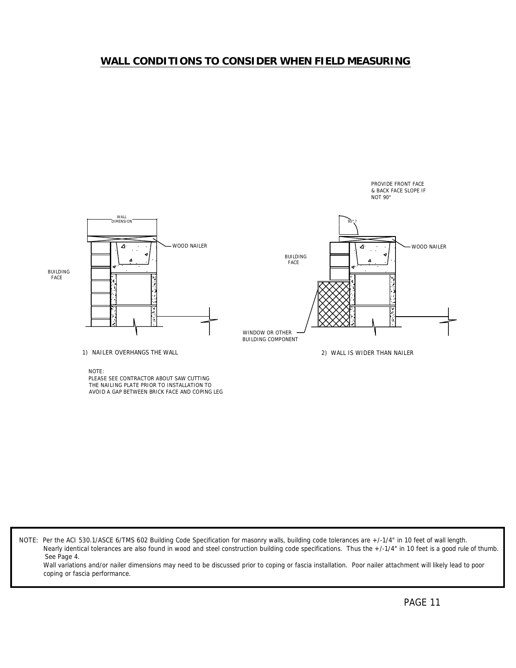#### **WALL CONDITIONS TO CONSIDER WHEN FIELD MEASURING**



NOTE:

PLEASE SEE CONTRACTOR ABOUT SAW CUTTING THE NAILING PLATE PRIOR TO INSTALLATION TO AVOID A GAP BETWEEN BRICK FACE AND COPING LEG

NOTE: Per the ACI 530.1/ASCE 6/TMS 602 Building Code Specification for masonry walls, building code tolerances are +/-1/4" in 10 feet of wall length. Nearly identical tolerances are also found in wood and steel construction building code specifications. Thus the +/-1/4" in 10 feet is a good rule of thumb. See Page 4.

Wall variations and/or nailer dimensions may need to be discussed prior to coping or fascia installation. Poor nailer attachment will likely lead to poor coping or fascia performance.

PROVIDE FRONT FACE & BACK FACE SLOPE IF